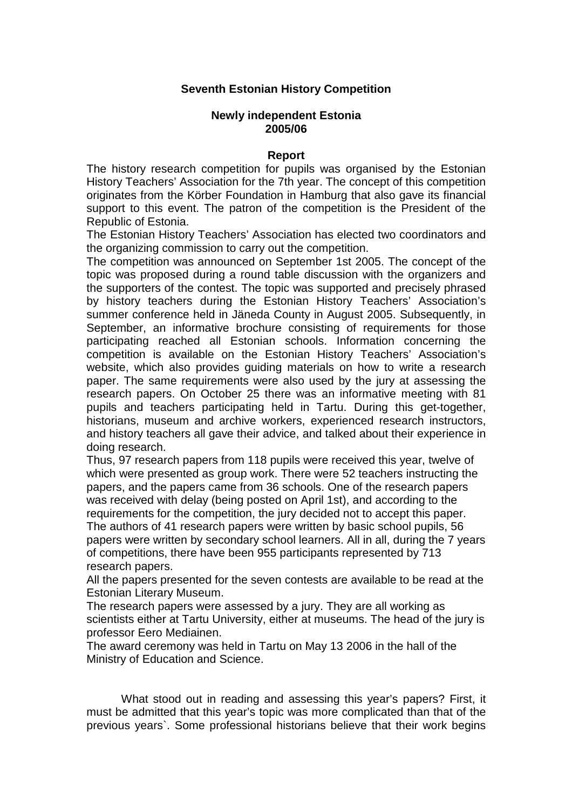## **Seventh Estonian History Competition**

## **Newly independent Estonia 2005/06**

## **Report**

The history research competition for pupils was organised by the Estonian History Teachers' Association for the 7th year. The concept of this competition originates from the Körber Foundation in Hamburg that also gave its financial support to this event. The patron of the competition is the President of the Republic of Estonia.

The Estonian History Teachers' Association has elected two coordinators and the organizing commission to carry out the competition.

The competition was announced on September 1st 2005. The concept of the topic was proposed during a round table discussion with the organizers and the supporters of the contest. The topic was supported and precisely phrased by history teachers during the Estonian History Teachers' Association's summer conference held in Jäneda County in August 2005. Subsequently, in September, an informative brochure consisting of requirements for those participating reached all Estonian schools. Information concerning the competition is available on the Estonian History Teachers' Association's website, which also provides guiding materials on how to write a research paper. The same requirements were also used by the jury at assessing the research papers. On October 25 there was an informative meeting with 81 pupils and teachers participating held in Tartu. During this get-together, historians, museum and archive workers, experienced research instructors, and history teachers all gave their advice, and talked about their experience in doing research.

Thus, 97 research papers from 118 pupils were received this year, twelve of which were presented as group work. There were 52 teachers instructing the papers, and the papers came from 36 schools. One of the research papers was received with delay (being posted on April 1st), and according to the requirements for the competition, the jury decided not to accept this paper. The authors of 41 research papers were written by basic school pupils, 56

papers were written by secondary school learners. All in all, during the 7 years of competitions, there have been 955 participants represented by 713 research papers.

All the papers presented for the seven contests are available to be read at the Estonian Literary Museum.

The research papers were assessed by a jury. They are all working as scientists either at Tartu University, either at museums. The head of the jury is professor Eero Mediainen.

The award ceremony was held in Tartu on May 13 2006 in the hall of the Ministry of Education and Science.

What stood out in reading and assessing this year's papers? First, it must be admitted that this year's topic was more complicated than that of the previous years`. Some professional historians believe that their work begins